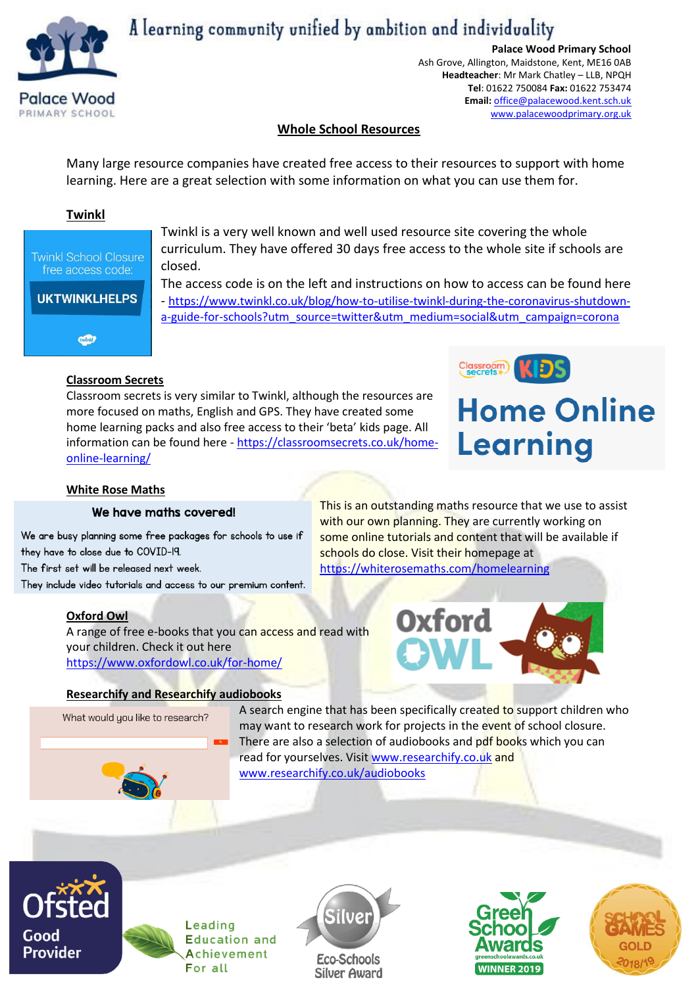

# A learning community unified by ambition and individuality

**Palace Wood Primary School**

Ash Grove, Allington, Maidstone, Kent, ME16 0AB **Headteacher**: Mr Mark Chatley – LLB, NPQH **Tel**: 01622 750084 **Fax:** 01622 753474 **Email:** [office@palacewood.kent.sch.uk](mailto:office@palacewood.kent.sch.uk) [www.palacewoodprimary.org.uk](http://www.palacewoodprimary.org.uk/)

# **Whole School Resources**

Many large resource companies have created free access to their resources to support with home learning. Here are a great selection with some information on what you can use them for.

# **Twinkl**



Twinkl is a very well known and well used resource site covering the whole curriculum. They have offered 30 days free access to the whole site if schools are closed.

The access code is on the left and instructions on how to access can be found here - [https://www.twinkl.co.uk/blog/how-to-utilise-twinkl-during-the-coronavirus-shutdown](https://www.twinkl.co.uk/blog/how-to-utilise-twinkl-during-the-coronavirus-shutdown-a-guide-for-schools?utm_source=twitter&utm_medium=social&utm_campaign=corona)[a-guide-for-schools?utm\\_source=twitter&utm\\_medium=social&utm\\_campaign=corona](https://www.twinkl.co.uk/blog/how-to-utilise-twinkl-during-the-coronavirus-shutdown-a-guide-for-schools?utm_source=twitter&utm_medium=social&utm_campaign=corona)

# **Classroom Secrets**

Classroom secrets is very similar to Twinkl, although the resources are more focused on maths, English and GPS. They have created some home learning packs and also free access to their 'beta' kids page. All information can be found here - [https://classroomsecrets.co.uk/home](https://classroomsecrets.co.uk/home-online-learning/)[online-learning/](https://classroomsecrets.co.uk/home-online-learning/)



# **Home Online** Learning

# **White Rose Maths**

# We have maths covered!

We are busy planning some free packages for schools to use if they have to close due to COVID-19. The first set will be released next week.

They include video tutorials and access to our premium content.

# **Oxford Owl**

A range of free e-books that you can access and read with your children. Check it out here <https://www.oxfordowl.co.uk/for-home/>

This is an outstanding maths resource that we use to assist with our own planning. They are currently working on some online tutorials and content that will be available if schools do close. Visit their homepage at [https://whiterosemaths.com/h](https://whiterosemaths.com/)omelearning



#### **Researchify and Researchify audiobooks**

What would you like to research?

A search engine that has been specifically created to support children who may want to research work for projects in the event of school closure. There are also a selection of audiobooks and pdf books which you can read for yourselves. Visit [www.researchify.co.uk](http://www.researchify.co.uk/) and [www.researchify.co.uk/audiobooks](http://www.researchify.co.uk/audiobooks)



Leading **Education and** Achievement For all